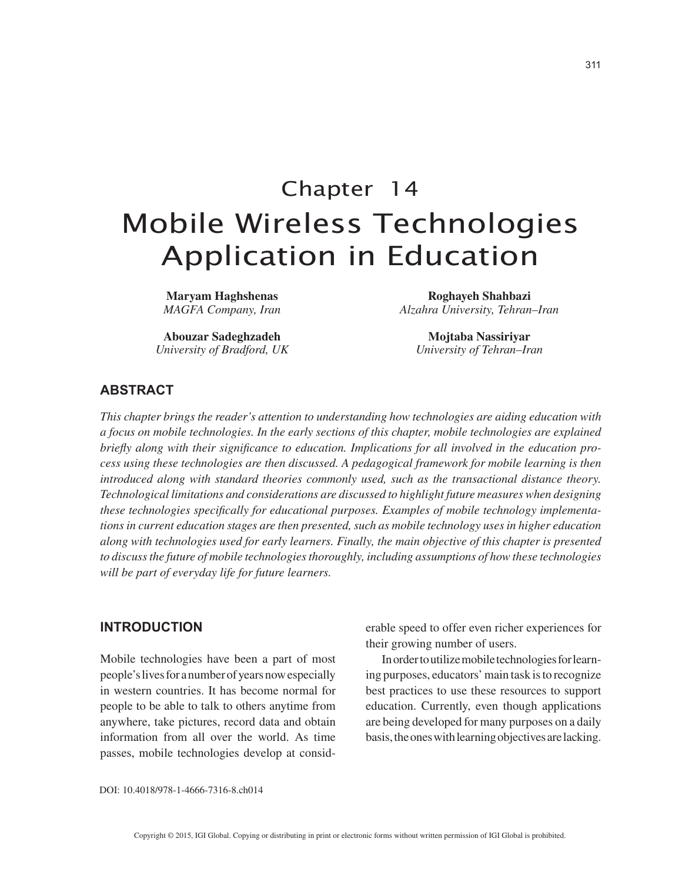# Chapter 14 Mobile Wireless Technologies Application in Education

**Maryam Haghshenas** *MAGFA Company, Iran*

**Abouzar Sadeghzadeh** *University of Bradford, UK*

**Roghayeh Shahbazi** *Alzahra University, Tehran–Iran*

**Mojtaba Nassiriyar** *University of Tehran–Iran*

## **ABSTRACT**

*This chapter brings the reader's attention to understanding how technologies are aiding education with a focus on mobile technologies. In the early sections of this chapter, mobile technologies are explained briefly along with their significance to education. Implications for all involved in the education process using these technologies are then discussed. A pedagogical framework for mobile learning is then introduced along with standard theories commonly used, such as the transactional distance theory. Technological limitations and considerations are discussed to highlight future measures when designing these technologies specifically for educational purposes. Examples of mobile technology implementations in current education stages are then presented, such as mobile technology uses in higher education along with technologies used for early learners. Finally, the main objective of this chapter is presented to discuss the future of mobile technologies thoroughly, including assumptions of how these technologies will be part of everyday life for future learners.*

## **INTRODUCTION**

Mobile technologies have been a part of most people's lives for a number of years now especially in western countries. It has become normal for people to be able to talk to others anytime from anywhere, take pictures, record data and obtain information from all over the world. As time passes, mobile technologies develop at considerable speed to offer even richer experiences for their growing number of users.

In order to utilize mobile technologies for learning purposes, educators' main task is to recognize best practices to use these resources to support education. Currently, even though applications are being developed for many purposes on a daily basis, the ones with learning objectives are lacking.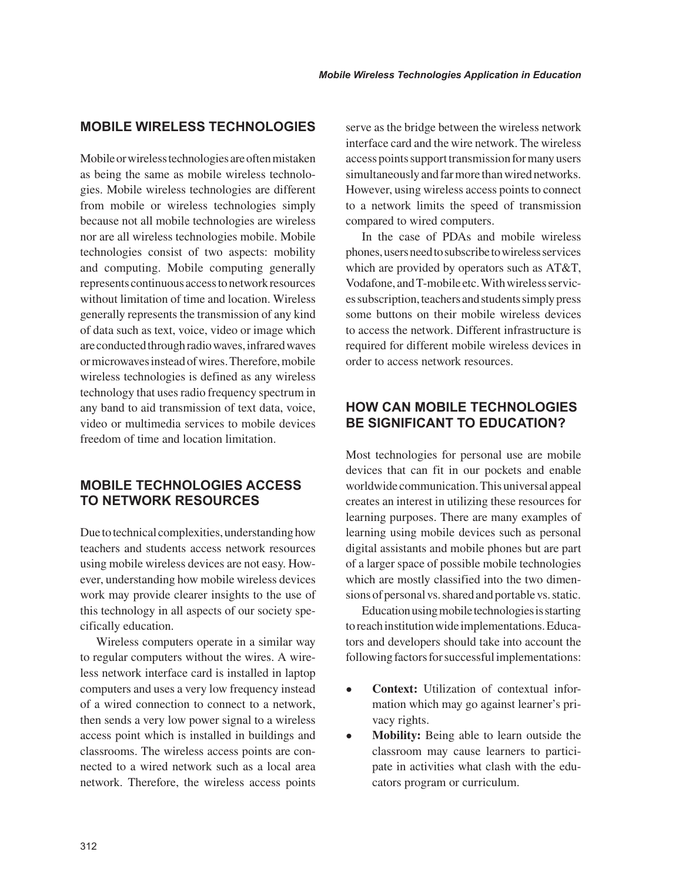## **MOBILE WIRELESS TECHNOLOGIES**

Mobile or wireless technologies are often mistaken as being the same as mobile wireless technologies. Mobile wireless technologies are different from mobile or wireless technologies simply because not all mobile technologies are wireless nor are all wireless technologies mobile. Mobile technologies consist of two aspects: mobility and computing. Mobile computing generally represents continuous access to network resources without limitation of time and location. Wireless generally represents the transmission of any kind of data such as text, voice, video or image which are conducted through radio waves, infrared waves or microwaves instead of wires. Therefore, mobile wireless technologies is defined as any wireless technology that uses radio frequency spectrum in any band to aid transmission of text data, voice, video or multimedia services to mobile devices freedom of time and location limitation.

# **MOBILE TECHNOLOGIES ACCESS TO NETWORK RESOURCES**

Due to technical complexities, understanding how teachers and students access network resources using mobile wireless devices are not easy. However, understanding how mobile wireless devices work may provide clearer insights to the use of this technology in all aspects of our society specifically education.

Wireless computers operate in a similar way to regular computers without the wires. A wireless network interface card is installed in laptop computers and uses a very low frequency instead of a wired connection to connect to a network, then sends a very low power signal to a wireless access point which is installed in buildings and classrooms. The wireless access points are connected to a wired network such as a local area network. Therefore, the wireless access points serve as the bridge between the wireless network interface card and the wire network. The wireless access points support transmission for many users simultaneously and far more than wired networks. However, using wireless access points to connect to a network limits the speed of transmission compared to wired computers.

In the case of PDAs and mobile wireless phones, users need to subscribe to wireless services which are provided by operators such as AT&T, Vodafone, and T-mobile etc. With wireless services subscription, teachers and students simply press some buttons on their mobile wireless devices to access the network. Different infrastructure is required for different mobile wireless devices in order to access network resources.

# **HOW CAN MOBILE TECHNOLOGIES BE SIGNIFICANT TO EDUCATION?**

Most technologies for personal use are mobile devices that can fit in our pockets and enable worldwide communication. This universal appeal creates an interest in utilizing these resources for learning purposes. There are many examples of learning using mobile devices such as personal digital assistants and mobile phones but are part of a larger space of possible mobile technologies which are mostly classified into the two dimensions of personal vs. shared and portable vs. static.

Education using mobile technologies is starting to reach institution wide implementations. Educators and developers should take into account the following factors for successful implementations:

- **Context:** Utilization of contextual information which may go against learner's privacy rights.
- **Mobility:** Being able to learn outside the classroom may cause learners to participate in activities what clash with the educators program or curriculum.